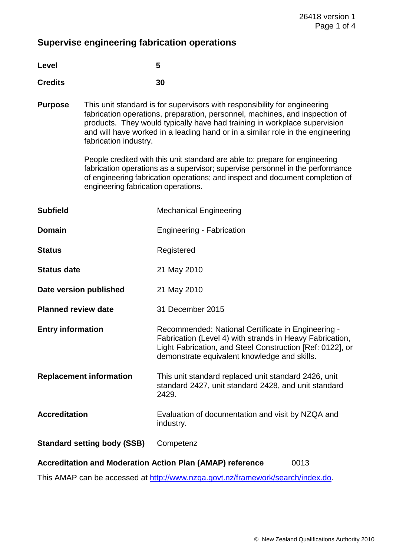# **Supervise engineering fabrication operations**

| G |
|---|
|   |

## **Credits 30**

**Purpose** This unit standard is for supervisors with responsibility for engineering fabrication operations, preparation, personnel, machines, and inspection of products. They would typically have had training in workplace supervision and will have worked in a leading hand or in a similar role in the engineering fabrication industry.

> People credited with this unit standard are able to: prepare for engineering fabrication operations as a supervisor; supervise personnel in the performance of engineering fabrication operations; and inspect and document completion of engineering fabrication operations.

| <b>Subfield</b>                                                          | <b>Mechanical Engineering</b>                                                                                                                                                                                               |  |
|--------------------------------------------------------------------------|-----------------------------------------------------------------------------------------------------------------------------------------------------------------------------------------------------------------------------|--|
| <b>Domain</b>                                                            | <b>Engineering - Fabrication</b>                                                                                                                                                                                            |  |
| <b>Status</b>                                                            | Registered                                                                                                                                                                                                                  |  |
| <b>Status date</b>                                                       | 21 May 2010                                                                                                                                                                                                                 |  |
| Date version published                                                   | 21 May 2010                                                                                                                                                                                                                 |  |
| <b>Planned review date</b>                                               | 31 December 2015                                                                                                                                                                                                            |  |
| <b>Entry information</b>                                                 | Recommended: National Certificate in Engineering -<br>Fabrication (Level 4) with strands in Heavy Fabrication,<br>Light Fabrication, and Steel Construction [Ref: 0122], or<br>demonstrate equivalent knowledge and skills. |  |
| <b>Replacement information</b>                                           | This unit standard replaced unit standard 2426, unit<br>standard 2427, unit standard 2428, and unit standard<br>2429.                                                                                                       |  |
| <b>Accreditation</b>                                                     | Evaluation of documentation and visit by NZQA and<br>industry.                                                                                                                                                              |  |
| <b>Standard setting body (SSB)</b>                                       | Competenz                                                                                                                                                                                                                   |  |
| <b>Accreditation and Moderation Action Plan (AMAP) reference</b><br>0013 |                                                                                                                                                                                                                             |  |

This AMAP can be accessed at http://www.nzqa.govt.nz/framework/search/index.do.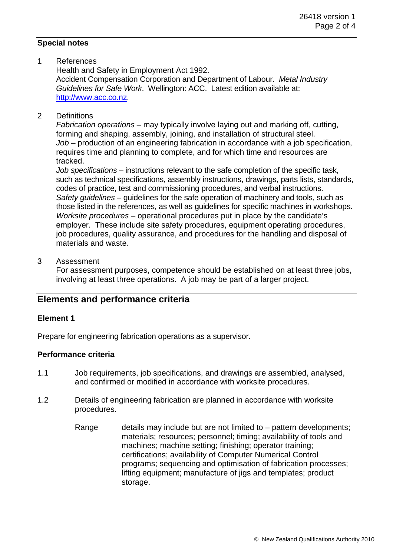#### **Special notes**

1 References

 Health and Safety in Employment Act 1992. Accident Compensation Corporation and Department of Labour. *Metal Industry Guidelines for Safe Work*. Wellington: ACC. Latest edition available at: http://www.acc.co.nz.

2 Definitions

*Fabrication operations* – may typically involve laying out and marking off, cutting, forming and shaping, assembly, joining, and installation of structural steel. *Job* – production of an engineering fabrication in accordance with a job specification, requires time and planning to complete, and for which time and resources are tracked.

*Job specifications* – instructions relevant to the safe completion of the specific task, such as technical specifications, assembly instructions, drawings, parts lists, standards, codes of practice, test and commissioning procedures, and verbal instructions.  *Safety guidelines* – guidelines for the safe operation of machinery and tools, such as those listed in the references, as well as guidelines for specific machines in workshops.  *Worksite procedures* – operational procedures put in place by the candidate's employer. These include site safety procedures, equipment operating procedures, job procedures, quality assurance, and procedures for the handling and disposal of materials and waste.

3 Assessment

 For assessment purposes, competence should be established on at least three jobs, involving at least three operations. A job may be part of a larger project.

## **Elements and performance criteria**

### **Element 1**

Prepare for engineering fabrication operations as a supervisor.

### **Performance criteria**

- 1.1 Job requirements, job specifications, and drawings are assembled, analysed, and confirmed or modified in accordance with worksite procedures.
- 1.2 Details of engineering fabrication are planned in accordance with worksite procedures.
	- Range details may include but are not limited to pattern developments; materials; resources; personnel; timing; availability of tools and machines; machine setting; finishing; operator training; certifications; availability of Computer Numerical Control programs; sequencing and optimisation of fabrication processes; lifting equipment; manufacture of jigs and templates; product storage.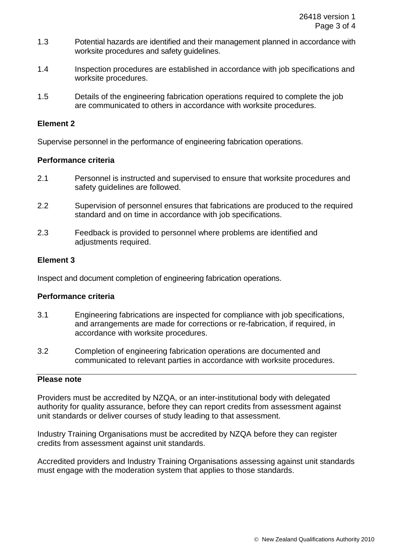- 1.3 Potential hazards are identified and their management planned in accordance with worksite procedures and safety guidelines.
- 1.4 Inspection procedures are established in accordance with job specifications and worksite procedures.
- 1.5 Details of the engineering fabrication operations required to complete the job are communicated to others in accordance with worksite procedures.

#### **Element 2**

Supervise personnel in the performance of engineering fabrication operations.

#### **Performance criteria**

- 2.1 Personnel is instructed and supervised to ensure that worksite procedures and safety guidelines are followed.
- 2.2 Supervision of personnel ensures that fabrications are produced to the required standard and on time in accordance with job specifications.
- 2.3 Feedback is provided to personnel where problems are identified and adjustments required.

#### **Element 3**

Inspect and document completion of engineering fabrication operations.

#### **Performance criteria**

- 3.1 Engineering fabrications are inspected for compliance with job specifications, and arrangements are made for corrections or re-fabrication, if required, in accordance with worksite procedures.
- 3.2 Completion of engineering fabrication operations are documented and communicated to relevant parties in accordance with worksite procedures.

#### **Please note**

Providers must be accredited by NZQA, or an inter-institutional body with delegated authority for quality assurance, before they can report credits from assessment against unit standards or deliver courses of study leading to that assessment.

Industry Training Organisations must be accredited by NZQA before they can register credits from assessment against unit standards.

Accredited providers and Industry Training Organisations assessing against unit standards must engage with the moderation system that applies to those standards.